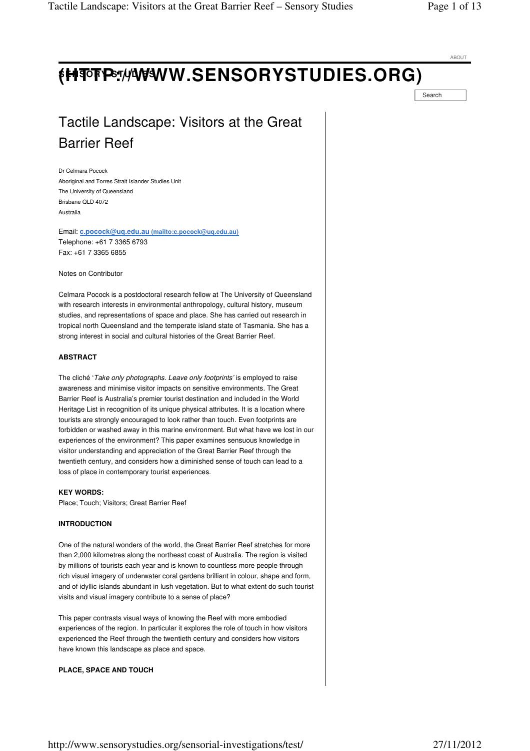ABOUT

# **SENSORY STUDIES (HTTP://WWW.SENSORYSTUDIES.ORG)**

Search

## Tactile Landscape: Visitors at the Great Barrier Reef

Dr Celmara Pocock Aboriginal and Torres Strait Islander Studies Unit The University of Queensland Brisbane QLD 4072 Australia

Email: **c.pocock@uq.edu.au (mailto:c.pocock@uq.edu.au)**  Telephone: +61 7 3365 6793 Fax: +61 7 3365 6855

Notes on Contributor

Celmara Pocock is a postdoctoral research fellow at The University of Queensland with research interests in environmental anthropology, cultural history, museum studies, and representations of space and place. She has carried out research in tropical north Queensland and the temperate island state of Tasmania. She has a strong interest in social and cultural histories of the Great Barrier Reef.

## **ABSTRACT**

The cliché 'Take only photographs. Leave only footprints' is employed to raise awareness and minimise visitor impacts on sensitive environments. The Great Barrier Reef is Australia's premier tourist destination and included in the World Heritage List in recognition of its unique physical attributes. It is a location where tourists are strongly encouraged to look rather than touch. Even footprints are forbidden or washed away in this marine environment. But what have we lost in our experiences of the environment? This paper examines sensuous knowledge in visitor understanding and appreciation of the Great Barrier Reef through the twentieth century, and considers how a diminished sense of touch can lead to a loss of place in contemporary tourist experiences.

## **KEY WORDS:**

Place; Touch; Visitors; Great Barrier Reef

## **INTRODUCTION**

One of the natural wonders of the world, the Great Barrier Reef stretches for more than 2,000 kilometres along the northeast coast of Australia. The region is visited by millions of tourists each year and is known to countless more people through rich visual imagery of underwater coral gardens brilliant in colour, shape and form, and of idyllic islands abundant in lush vegetation. But to what extent do such tourist visits and visual imagery contribute to a sense of place?

This paper contrasts visual ways of knowing the Reef with more embodied experiences of the region. In particular it explores the role of touch in how visitors experienced the Reef through the twentieth century and considers how visitors have known this landscape as place and space.

## **PLACE, SPACE AND TOUCH**

http://www.sensorystudies.org/sensorial-investigations/test/ 27/11/2012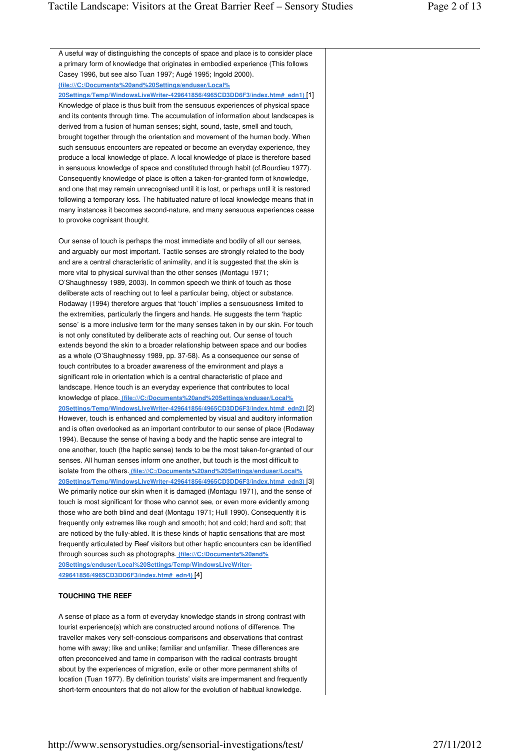| A useful way of distinguishing the concepts of space and place is to consider place    |  |
|----------------------------------------------------------------------------------------|--|
| a primary form of knowledge that originates in embodied experience (This follows       |  |
| Casey 1996, but see also Tuan 1997; Augé 1995; Ingold 2000).                           |  |
| (file:///C:/Documents%20and%20Settings/enduser/Local%                                  |  |
| 20Settings/Temp/WindowsLiveWriter-429641856/4965CD3DD6F3/index.htm# edn1) [1]          |  |
| Knowledge of place is thus built from the sensuous experiences of physical space       |  |
| and its contents through time. The accumulation of information about landscapes is     |  |
| derived from a fusion of human senses; sight, sound, taste, smell and touch,           |  |
| brought together through the orientation and movement of the human body. When          |  |
| such sensuous encounters are repeated or become an everyday experience, they           |  |
| produce a local knowledge of place. A local knowledge of place is therefore based      |  |
| in sensuous knowledge of space and constituted through habit (cf. Bourdieu 1977).      |  |
| Consequently knowledge of place is often a taken-for-granted form of knowledge,        |  |
| and one that may remain unrecognised until it is lost, or perhaps until it is restored |  |
| following a temporary loss. The habituated nature of local knowledge means that in     |  |
| many instances it becomes second-nature, and many sensuous experiences cease           |  |
| to provoke cognisant thought.                                                          |  |
|                                                                                        |  |
| Our sense of touch is perhaps the most immediate and bodily of all our senses,         |  |
| and arguably our most important. Tactile senses are strongly related to the body       |  |
| and are a central characteristic of animality, and it is suggested that the skin is    |  |
| more vital to physical survival than the other senses (Montagu 1971;                   |  |
| O'Shaughnessy 1989, 2003). In common speech we think of touch as those                 |  |
| deliberate acts of reaching out to feel a particular being, object or substance.       |  |
| Rodaway (1994) therefore argues that 'touch' implies a sensuousness limited to         |  |
| the extremities, particularly the fingers and hands. He suggests the term 'haptic      |  |
| sense' is a more inclusive term for the many senses taken in by our skin. For touch    |  |
| is not only constituted by deliberate acts of reaching out. Our sense of touch         |  |
| extends beyond the skin to a broader relationship between space and our bodies         |  |
| as a whole (O'Shaughnessy 1989, pp. 37-58). As a consequence our sense of              |  |
| touch contributes to a broader awareness of the environment and plays a                |  |
| significant role in orientation which is a central characteristic of place and         |  |
| landscape. Hence touch is an everyday experience that contributes to local             |  |
| knowledge of place. (file:///C:/Documents%20and%20Settings/enduser/Local%              |  |
| 20Settings/Temp/WindowsLiveWriter-429641856/4965CD3DD6F3/index.htm# edn2) [2]          |  |
| However, touch is enhanced and complemented by visual and auditory information         |  |
| and is often overlooked as an important contributor to our sense of place (Rodaway     |  |
| 1994). Because the sense of having a body and the haptic sense are integral to         |  |
| one another, touch (the haptic sense) tends to be the most taken-for-granted of our    |  |
| senses. All human senses inform one another, but touch is the most difficult to        |  |
| isolate from the others. (file:///C:/Documents%20and%20Settings/enduser/Local%         |  |
| 20Settings/Temp/WindowsLiveWriter-429641856/4965CD3DD6F3/index.htm# edn3) [3]          |  |
| We primarily notice our skin when it is damaged (Montagu 1971), and the sense of       |  |
| touch is most significant for those who cannot see, or even more evidently among       |  |
| those who are both blind and deaf (Montagu 1971; Hull 1990). Consequently it is        |  |
| frequently only extremes like rough and smooth; hot and cold; hard and soft; that      |  |
| are noticed by the fully-abled. It is these kinds of haptic sensations that are most   |  |
| frequently articulated by Reef visitors but other haptic encounters can be identified  |  |
| through sources such as photographs. (file:///C:/Documents%20and%                      |  |
| 20Settings/enduser/Local%20Settings/Temp/WindowsLiveWriter-                            |  |
| 429641856/4965CD3DD6F3/index.htm# edn4)[4]                                             |  |
|                                                                                        |  |
| <b>TOUCHING THE REEF</b>                                                               |  |
|                                                                                        |  |

A sense of place as a form of everyday knowledge stands in strong contrast with tourist experience(s) which are constructed around notions of difference. The traveller makes very self-conscious comparisons and observations that contrast home with away; like and unlike; familiar and unfamiliar. These differences are often preconceived and tame in comparison with the radical contrasts brought about by the experiences of migration, exile or other more permanent shifts of location (Tuan 1977). By definition tourists' visits are impermanent and frequently short-term encounters that do not allow for the evolution of habitual knowledge.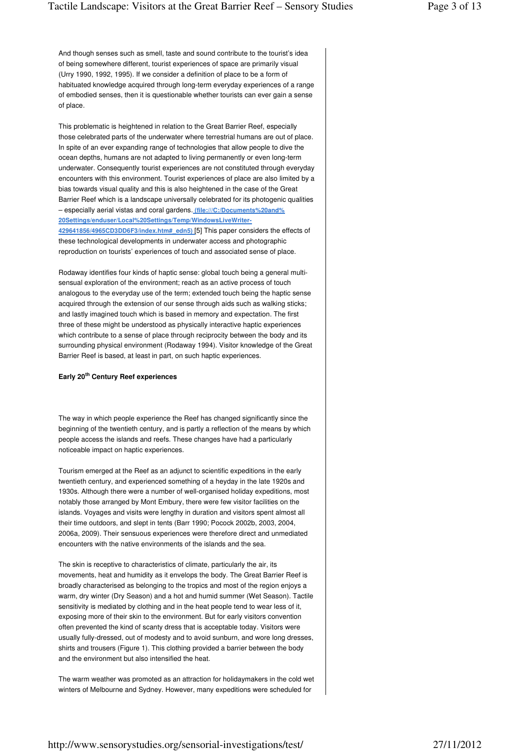And though senses such as smell, taste and sound contribute to the tourist's idea of being somewhere different, tourist experiences of space are primarily visual (Urry 1990, 1992, 1995). If we consider a definition of place to be a form of habituated knowledge acquired through long-term everyday experiences of a range of embodied senses, then it is questionable whether tourists can ever gain a sense of place.

This problematic is heightened in relation to the Great Barrier Reef, especially those celebrated parts of the underwater where terrestrial humans are out of place. In spite of an ever expanding range of technologies that allow people to dive the ocean depths, humans are not adapted to living permanently or even long-term underwater. Consequently tourist experiences are not constituted through everyday encounters with this environment. Tourist experiences of place are also limited by a bias towards visual quality and this is also heightened in the case of the Great Barrier Reef which is a landscape universally celebrated for its photogenic qualities – especially aerial vistas and coral gardens. **(file:///C:/Documents%20and% 20Settings/enduser/Local%20Settings/Temp/WindowsLiveWriter-429641856/4965CD3DD6F3/index.htm#\_edn5)** [5] This paper considers the effects of these technological developments in underwater access and photographic reproduction on tourists' experiences of touch and associated sense of place.

Rodaway identifies four kinds of haptic sense: global touch being a general multisensual exploration of the environment; reach as an active process of touch analogous to the everyday use of the term; extended touch being the haptic sense acquired through the extension of our sense through aids such as walking sticks; and lastly imagined touch which is based in memory and expectation. The first three of these might be understood as physically interactive haptic experiences which contribute to a sense of place through reciprocity between the body and its surrounding physical environment (Rodaway 1994). Visitor knowledge of the Great Barrier Reef is based, at least in part, on such haptic experiences.

## **Early 20th Century Reef experiences**

The way in which people experience the Reef has changed significantly since the beginning of the twentieth century, and is partly a reflection of the means by which people access the islands and reefs. These changes have had a particularly noticeable impact on haptic experiences.

Tourism emerged at the Reef as an adjunct to scientific expeditions in the early twentieth century, and experienced something of a heyday in the late 1920s and 1930s. Although there were a number of well-organised holiday expeditions, most notably those arranged by Mont Embury, there were few visitor facilities on the islands. Voyages and visits were lengthy in duration and visitors spent almost all their time outdoors, and slept in tents (Barr 1990; Pocock 2002b, 2003, 2004, 2006a, 2009). Their sensuous experiences were therefore direct and unmediated encounters with the native environments of the islands and the sea.

The skin is receptive to characteristics of climate, particularly the air, its movements, heat and humidity as it envelops the body. The Great Barrier Reef is broadly characterised as belonging to the tropics and most of the region enjoys a warm, dry winter (Dry Season) and a hot and humid summer (Wet Season). Tactile sensitivity is mediated by clothing and in the heat people tend to wear less of it, exposing more of their skin to the environment. But for early visitors convention often prevented the kind of scanty dress that is acceptable today. Visitors were usually fully-dressed, out of modesty and to avoid sunburn, and wore long dresses, shirts and trousers (Figure 1). This clothing provided a barrier between the body and the environment but also intensified the heat.

The warm weather was promoted as an attraction for holidaymakers in the cold wet winters of Melbourne and Sydney. However, many expeditions were scheduled for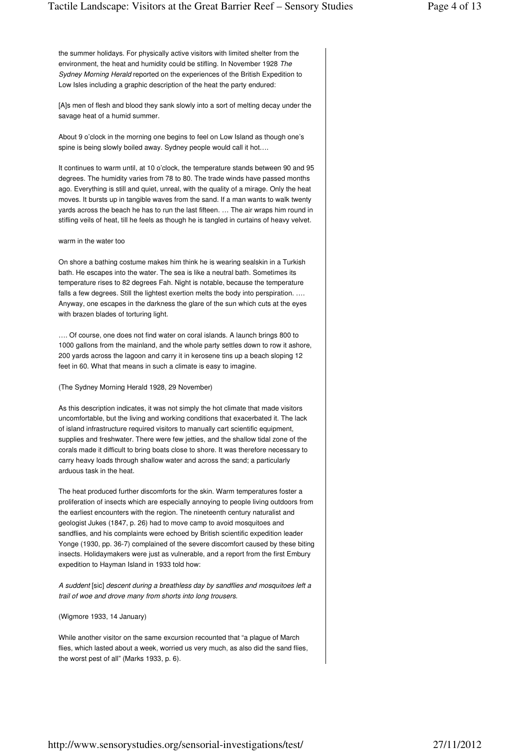the summer holidays. For physically active visitors with limited shelter from the environment, the heat and humidity could be stifling. In November 1928 The Sydney Morning Herald reported on the experiences of the British Expedition to Low Isles including a graphic description of the heat the party endured:

[A]s men of flesh and blood they sank slowly into a sort of melting decay under the savage heat of a humid summer.

About 9 o'clock in the morning one begins to feel on Low Island as though one's spine is being slowly boiled away. Sydney people would call it hot….

It continues to warm until, at 10 o'clock, the temperature stands between 90 and 95 degrees. The humidity varies from 78 to 80. The trade winds have passed months ago. Everything is still and quiet, unreal, with the quality of a mirage. Only the heat moves. It bursts up in tangible waves from the sand. If a man wants to walk twenty yards across the beach he has to run the last fifteen. … The air wraps him round in stifling veils of heat, till he feels as though he is tangled in curtains of heavy velvet.

#### warm in the water too

On shore a bathing costume makes him think he is wearing sealskin in a Turkish bath. He escapes into the water. The sea is like a neutral bath. Sometimes its temperature rises to 82 degrees Fah. Night is notable, because the temperature falls a few degrees. Still the lightest exertion melts the body into perspiration. .... Anyway, one escapes in the darkness the glare of the sun which cuts at the eyes with brazen blades of torturing light.

…. Of course, one does not find water on coral islands. A launch brings 800 to 1000 gallons from the mainland, and the whole party settles down to row it ashore, 200 yards across the lagoon and carry it in kerosene tins up a beach sloping 12 feet in 60. What that means in such a climate is easy to imagine.

#### (The Sydney Morning Herald 1928, 29 November)

As this description indicates, it was not simply the hot climate that made visitors uncomfortable, but the living and working conditions that exacerbated it. The lack of island infrastructure required visitors to manually cart scientific equipment, supplies and freshwater. There were few jetties, and the shallow tidal zone of the corals made it difficult to bring boats close to shore. It was therefore necessary to carry heavy loads through shallow water and across the sand; a particularly arduous task in the heat.

The heat produced further discomforts for the skin. Warm temperatures foster a proliferation of insects which are especially annoying to people living outdoors from the earliest encounters with the region. The nineteenth century naturalist and geologist Jukes (1847, p. 26) had to move camp to avoid mosquitoes and sandflies, and his complaints were echoed by British scientific expedition leader Yonge (1930, pp. 36-7) complained of the severe discomfort caused by these biting insects. Holidaymakers were just as vulnerable, and a report from the first Embury expedition to Hayman Island in 1933 told how:

A suddent [sic] descent during a breathless day by sandflies and mosquitoes left a trail of woe and drove many from shorts into long trousers.

(Wigmore 1933, 14 January)

While another visitor on the same excursion recounted that "a plague of March flies, which lasted about a week, worried us very much, as also did the sand flies, the worst pest of all" (Marks 1933, p. 6).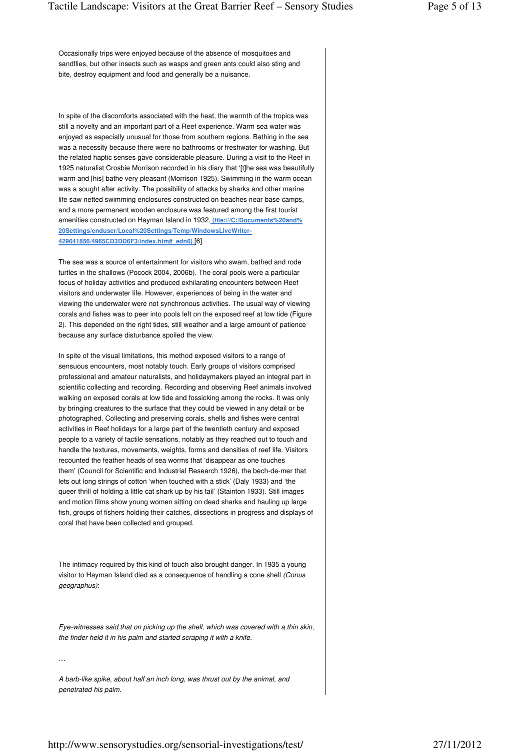In spite of the discomforts associated with the heat, the warmth of the tropics was still a novelty and an important part of a Reef experience. Warm sea water was enjoyed as especially unusual for those from southern regions. Bathing in the sea was a necessity because there were no bathrooms or freshwater for washing. But the related haptic senses gave considerable pleasure. During a visit to the Reef in 1925 naturalist Crosbie Morrison recorded in his diary that '[t]he sea was beautifully warm and [his] bathe very pleasant (Morrison 1925). Swimming in the warm ocean was a sought after activity. The possibility of attacks by sharks and other marine life saw netted swimming enclosures constructed on beaches near base camps, and a more permanent wooden enclosure was featured among the first tourist amenities constructed on Hayman Island in 1932. **(file:///C:/Documents%20and% 20Settings/enduser/Local%20Settings/Temp/WindowsLiveWriter-429641856/4965CD3DD6F3/index.htm#\_edn6)** [6]

The sea was a source of entertainment for visitors who swam, bathed and rode turtles in the shallows (Pocock 2004, 2006b). The coral pools were a particular focus of holiday activities and produced exhilarating encounters between Reef visitors and underwater life. However, experiences of being in the water and viewing the underwater were not synchronous activities. The usual way of viewing corals and fishes was to peer into pools left on the exposed reef at low tide (Figure 2). This depended on the right tides, still weather and a large amount of patience because any surface disturbance spoiled the view.

In spite of the visual limitations, this method exposed visitors to a range of sensuous encounters, most notably touch. Early groups of visitors comprised professional and amateur naturalists, and holidaymakers played an integral part in scientific collecting and recording. Recording and observing Reef animals involved walking on exposed corals at low tide and fossicking among the rocks. It was only by bringing creatures to the surface that they could be viewed in any detail or be photographed. Collecting and preserving corals, shells and fishes were central activities in Reef holidays for a large part of the twentieth century and exposed people to a variety of tactile sensations, notably as they reached out to touch and handle the textures, movements, weights, forms and densities of reef life. Visitors recounted the feather heads of sea worms that 'disappear as one touches them' (Council for Scientific and Industrial Research 1926), the bech-de-mer that lets out long strings of cotton 'when touched with a stick' (Daly 1933) and 'the queer thrill of holding a little cat shark up by his tail' (Stainton 1933). Still images and motion films show young women sitting on dead sharks and hauling up large fish, groups of fishers holding their catches, dissections in progress and displays of coral that have been collected and grouped.

The intimacy required by this kind of touch also brought danger. In 1935 a young visitor to Hayman Island died as a consequence of handling a cone shell (Conus geographus):

Eye-witnesses said that on picking up the shell, which was covered with a thin skin, the finder held it in his palm and started scraping it with a knife.

…

A barb-like spike, about half an inch long, was thrust out by the animal, and penetrated his palm.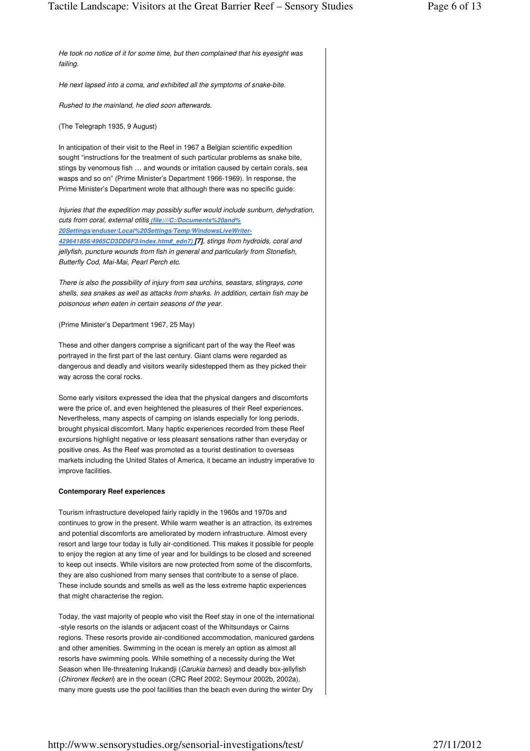He took no notice of it for some time, but then complained that his eyesight was

failing. He next lapsed into a coma, and exhibited all the symptoms of snake-bite. Rushed to the mainland, he died soon afterwards. (The Telegraph 1935, 9 August) In anticipation of their visit to the Reef in 1967 a Belgian scientific expedition sought "instructions for the treatment of such particular problems as snake bite, stings by venomous fish … and wounds or irritation caused by certain corals, sea wasps and so on" (Prime Minister's Department 1966-1969). In response, the Prime Minister's Department wrote that although there was no specific guide: Injuries that the expedition may possibly suffer would include sunburn, dehydration, cuts from coral, external otitis **(file:///C:/Documents%20and% 20Settings/enduser/Local%20Settings/Temp/WindowsLiveWriter-429641856/4965CD3DD6F3/index.htm#\_edn7) [7]**, stings from hydroids, coral and jellyfish, puncture wounds from fish in general and particularly from Stonefish, Butterfly Cod, Mai-Mai, Pearl Perch etc. There is also the possibility of injury from sea urchins, seastars, stingrays, cone shells, sea snakes as well as attacks from sharks. In addition, certain fish may be poisonous when eaten in certain seasons of the year. (Prime Minister's Department 1967, 25 May) These and other dangers comprise a significant part of the way the Reef was portrayed in the first part of the last century. Giant clams were regarded as dangerous and deadly and visitors wearily sidestepped them as they picked their way across the coral rocks. Some early visitors expressed the idea that the physical dangers and discomforts were the price of, and even heightened the pleasures of their Reef experiences. Nevertheless, many aspects of camping on islands especially for long periods, brought physical discomfort. Many haptic experiences recorded from these Reef excursions highlight negative or less pleasant sensations rather than everyday or positive ones. As the Reef was promoted as a tourist destination to overseas markets including the United States of America, it became an industry imperative to improve facilities. **Contemporary Reef experiences** Tourism infrastructure developed fairly rapidly in the 1960s and 1970s and continues to grow in the present. While warm weather is an attraction, its extremes and potential discomforts are ameliorated by modern infrastructure. Almost every resort and large tour today is fully air-conditioned. This makes it possible for people to enjoy the region at any time of year and for buildings to be closed and screened to keep out insects. While visitors are now protected from some of the discomforts, they are also cushioned from many senses that contribute to a sense of place. These include sounds and smells as well as the less extreme haptic experiences that might characterise the region. Today, the vast majority of people who visit the Reef stay in one of the international -style resorts on the islands or adjacent coast of the Whitsundays or Cairns regions. These resorts provide air-conditioned accommodation, manicured gardens and other amenities. Swimming in the ocean is merely an option as almost all

http://www.sensorystudies.org/sensorial-investigations/test/ 27/11/2012

resorts have swimming pools. While something of a necessity during the Wet Season when life-threatening Irukandji (Carukia barnesi) and deadly box-jellyfish (Chironex fleckeri) are in the ocean (CRC Reef 2002; Seymour 2002b, 2002a), many more guests use the pool facilities than the beach even during the winter Dry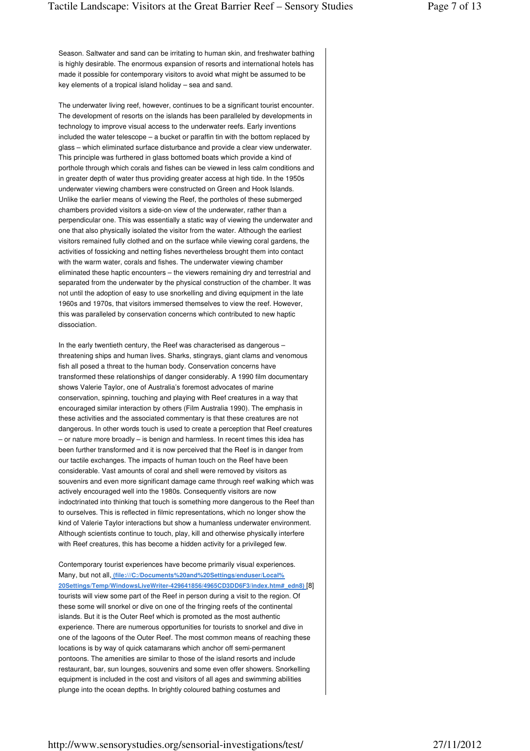Season. Saltwater and sand can be irritating to human skin, and freshwater bathing is highly desirable. The enormous expansion of resorts and international hotels has made it possible for contemporary visitors to avoid what might be assumed to be key elements of a tropical island holiday – sea and sand.

The underwater living reef, however, continues to be a significant tourist encounter. The development of resorts on the islands has been paralleled by developments in technology to improve visual access to the underwater reefs. Early inventions included the water telescope – a bucket or paraffin tin with the bottom replaced by glass – which eliminated surface disturbance and provide a clear view underwater. This principle was furthered in glass bottomed boats which provide a kind of porthole through which corals and fishes can be viewed in less calm conditions and in greater depth of water thus providing greater access at high tide. In the 1950s underwater viewing chambers were constructed on Green and Hook Islands. Unlike the earlier means of viewing the Reef, the portholes of these submerged chambers provided visitors a side-on view of the underwater, rather than a perpendicular one. This was essentially a static way of viewing the underwater and one that also physically isolated the visitor from the water. Although the earliest visitors remained fully clothed and on the surface while viewing coral gardens, the activities of fossicking and netting fishes nevertheless brought them into contact with the warm water, corals and fishes. The underwater viewing chamber eliminated these haptic encounters – the viewers remaining dry and terrestrial and separated from the underwater by the physical construction of the chamber. It was not until the adoption of easy to use snorkelling and diving equipment in the late 1960s and 1970s, that visitors immersed themselves to view the reef. However, this was paralleled by conservation concerns which contributed to new haptic dissociation.

In the early twentieth century, the Reef was characterised as dangerous – threatening ships and human lives. Sharks, stingrays, giant clams and venomous fish all posed a threat to the human body. Conservation concerns have transformed these relationships of danger considerably. A 1990 film documentary shows Valerie Taylor, one of Australia's foremost advocates of marine conservation, spinning, touching and playing with Reef creatures in a way that encouraged similar interaction by others (Film Australia 1990). The emphasis in these activities and the associated commentary is that these creatures are not dangerous. In other words touch is used to create a perception that Reef creatures – or nature more broadly – is benign and harmless. In recent times this idea has been further transformed and it is now perceived that the Reef is in danger from our tactile exchanges. The impacts of human touch on the Reef have been considerable. Vast amounts of coral and shell were removed by visitors as souvenirs and even more significant damage came through reef walking which was actively encouraged well into the 1980s. Consequently visitors are now indoctrinated into thinking that touch is something more dangerous to the Reef than to ourselves. This is reflected in filmic representations, which no longer show the kind of Valerie Taylor interactions but show a humanless underwater environment. Although scientists continue to touch, play, kill and otherwise physically interfere with Reef creatures, this has become a hidden activity for a privileged few.

Contemporary tourist experiences have become primarily visual experiences. Many, but not all, **(file:///C:/Documents%20and%20Settings/enduser/Local% 20Settings/Temp/WindowsLiveWriter-429641856/4965CD3DD6F3/index.htm#\_edn8)** [8] tourists will view some part of the Reef in person during a visit to the region. Of these some will snorkel or dive on one of the fringing reefs of the continental islands. But it is the Outer Reef which is promoted as the most authentic experience. There are numerous opportunities for tourists to snorkel and dive in one of the lagoons of the Outer Reef. The most common means of reaching these locations is by way of quick catamarans which anchor off semi-permanent pontoons. The amenities are similar to those of the island resorts and include restaurant, bar, sun lounges, souvenirs and some even offer showers. Snorkelling equipment is included in the cost and visitors of all ages and swimming abilities plunge into the ocean depths. In brightly coloured bathing costumes and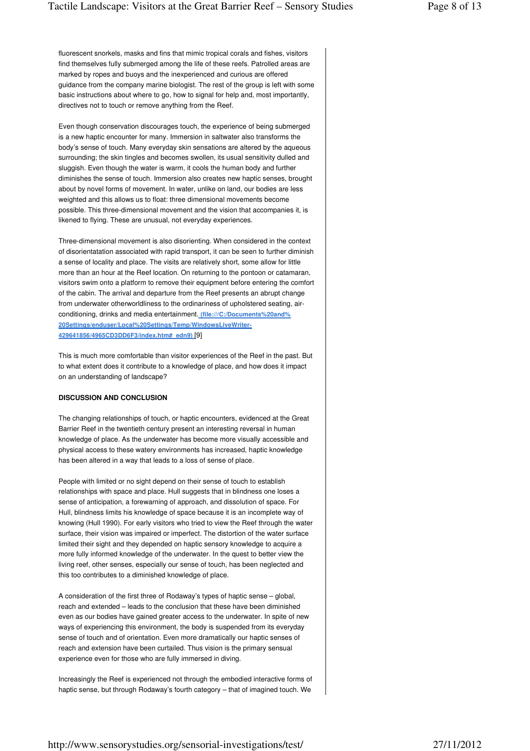fluorescent snorkels, masks and fins that mimic tropical corals and fishes, visitors find themselves fully submerged among the life of these reefs. Patrolled areas are marked by ropes and buoys and the inexperienced and curious are offered guidance from the company marine biologist. The rest of the group is left with some basic instructions about where to go, how to signal for help and, most importantly, directives not to touch or remove anything from the Reef.

Even though conservation discourages touch, the experience of being submerged is a new haptic encounter for many. Immersion in saltwater also transforms the body's sense of touch. Many everyday skin sensations are altered by the aqueous surrounding; the skin tingles and becomes swollen, its usual sensitivity dulled and sluggish. Even though the water is warm, it cools the human body and further diminishes the sense of touch. Immersion also creates new haptic senses, brought about by novel forms of movement. In water, unlike on land, our bodies are less weighted and this allows us to float: three dimensional movements become possible. This three-dimensional movement and the vision that accompanies it, is likened to flying. These are unusual, not everyday experiences.

Three-dimensional movement is also disorienting. When considered in the context of disorientatation associated with rapid transport, it can be seen to further diminish a sense of locality and place. The visits are relatively short, some allow for little more than an hour at the Reef location. On returning to the pontoon or catamaran, visitors swim onto a platform to remove their equipment before entering the comfort of the cabin. The arrival and departure from the Reef presents an abrupt change from underwater otherworldliness to the ordinariness of upholstered seating, airconditioning, drinks and media entertainment. **(file:///C:/Documents%20and% 20Settings/enduser/Local%20Settings/Temp/WindowsLiveWriter-429641856/4965CD3DD6F3/index.htm#\_edn9)** [9]

This is much more comfortable than visitor experiences of the Reef in the past. But to what extent does it contribute to a knowledge of place, and how does it impact on an understanding of landscape?

#### **DISCUSSION AND CONCLUSION**

The changing relationships of touch, or haptic encounters, evidenced at the Great Barrier Reef in the twentieth century present an interesting reversal in human knowledge of place. As the underwater has become more visually accessible and physical access to these watery environments has increased, haptic knowledge has been altered in a way that leads to a loss of sense of place.

People with limited or no sight depend on their sense of touch to establish relationships with space and place. Hull suggests that in blindness one loses a sense of anticipation, a forewarning of approach, and dissolution of space. For Hull, blindness limits his knowledge of space because it is an incomplete way of knowing (Hull 1990). For early visitors who tried to view the Reef through the water surface, their vision was impaired or imperfect. The distortion of the water surface limited their sight and they depended on haptic sensory knowledge to acquire a more fully informed knowledge of the underwater. In the quest to better view the living reef, other senses, especially our sense of touch, has been neglected and this too contributes to a diminished knowledge of place.

A consideration of the first three of Rodaway's types of haptic sense – global, reach and extended – leads to the conclusion that these have been diminished even as our bodies have gained greater access to the underwater. In spite of new ways of experiencing this environment, the body is suspended from its everyday sense of touch and of orientation. Even more dramatically our haptic senses of reach and extension have been curtailed. Thus vision is the primary sensual experience even for those who are fully immersed in diving.

Increasingly the Reef is experienced not through the embodied interactive forms of haptic sense, but through Rodaway's fourth category – that of imagined touch. We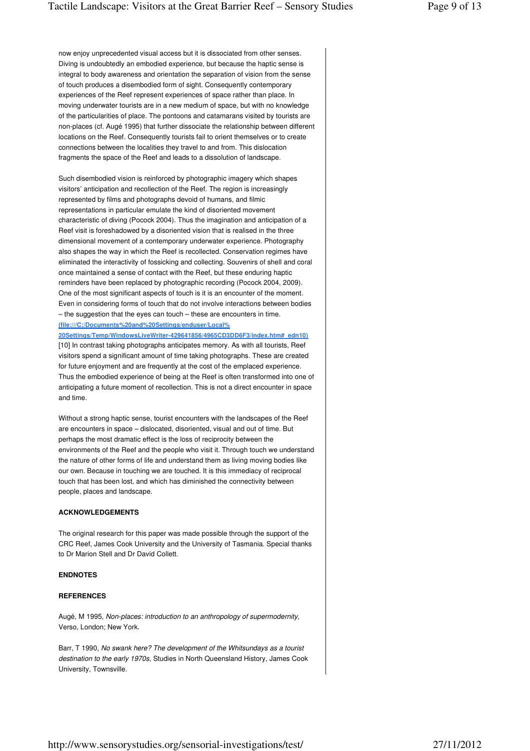now enjoy unprecedented visual access but it is dissociated from other senses. Diving is undoubtedly an embodied experience, but because the haptic sense is integral to body awareness and orientation the separation of vision from the sense of touch produces a disembodied form of sight. Consequently contemporary experiences of the Reef represent experiences of space rather than place. In moving underwater tourists are in a new medium of space, but with no knowledge of the particularities of place. The pontoons and catamarans visited by tourists are non-places (cf. Augé 1995) that further dissociate the relationship between different locations on the Reef. Consequently tourists fail to orient themselves or to create connections between the localities they travel to and from. This dislocation fragments the space of the Reef and leads to a dissolution of landscape.

Such disembodied vision is reinforced by photographic imagery which shapes visitors' anticipation and recollection of the Reef. The region is increasingly represented by films and photographs devoid of humans, and filmic representations in particular emulate the kind of disoriented movement characteristic of diving (Pocock 2004). Thus the imagination and anticipation of a Reef visit is foreshadowed by a disoriented vision that is realised in the three dimensional movement of a contemporary underwater experience. Photography also shapes the way in which the Reef is recollected. Conservation regimes have eliminated the interactivity of fossicking and collecting. Souvenirs of shell and coral once maintained a sense of contact with the Reef, but these enduring haptic reminders have been replaced by photographic recording (Pocock 2004, 2009). One of the most significant aspects of touch is it is an encounter of the moment. Even in considering forms of touch that do not involve interactions between bodies – the suggestion that the eyes can touch – these are encounters in time. **(file:///C:/Documents%20and%20Settings/enduser/Local%**

**20Settings/Temp/WindowsLiveWriter-429641856/4965CD3DD6F3/index.htm#\_edn10)**  [10] In contrast taking photographs anticipates memory. As with all tourists, Reef visitors spend a significant amount of time taking photographs. These are created for future enjoyment and are frequently at the cost of the emplaced experience. Thus the embodied experience of being at the Reef is often transformed into one of anticipating a future moment of recollection. This is not a direct encounter in space and time.

Without a strong haptic sense, tourist encounters with the landscapes of the Reef are encounters in space – dislocated, disoriented, visual and out of time. But perhaps the most dramatic effect is the loss of reciprocity between the environments of the Reef and the people who visit it. Through touch we understand the nature of other forms of life and understand them as living moving bodies like our own. Because in touching we are touched. It is this immediacy of reciprocal touch that has been lost, and which has diminished the connectivity between people, places and landscape.

## **ACKNOWLEDGEMENTS**

The original research for this paper was made possible through the support of the CRC Reef, James Cook University and the University of Tasmania. Special thanks to Dr Marion Stell and Dr David Collett.

#### **ENDNOTES**

#### **REFERENCES**

Augé, M 1995, Non-places: introduction to an anthropology of supermodernity, Verso, London; New York.

Barr, T 1990, No swank here? The development of the Whitsundays as a tourist destination to the early 1970s, Studies in North Queensland History, James Cook University, Townsville.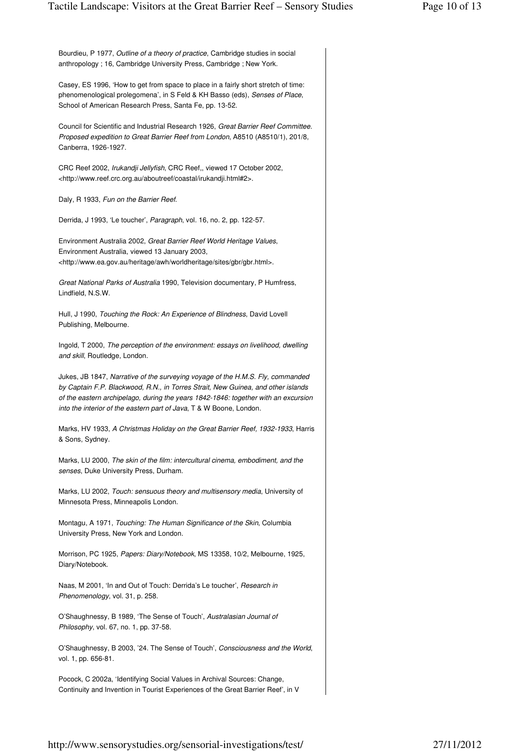| Bourdieu, P 1977, Outline of a theory of practice, Cambridge studies in social<br>anthropology; 16, Cambridge University Press, Cambridge; New York.                                                                                                                                                                            |
|---------------------------------------------------------------------------------------------------------------------------------------------------------------------------------------------------------------------------------------------------------------------------------------------------------------------------------|
| Casey, ES 1996, 'How to get from space to place in a fairly short stretch of time:<br>phenomenological prolegomena', in S Feld & KH Basso (eds), Senses of Place,<br>School of American Research Press, Santa Fe, pp. 13-52.                                                                                                    |
| Council for Scientific and Industrial Research 1926, Great Barrier Reef Committee.<br>Proposed expedition to Great Barrier Reef from London, A8510 (A8510/1), 201/8,<br>Canberra, 1926-1927.                                                                                                                                    |
| CRC Reef 2002, Irukandji Jellyfish, CRC Reef,, viewed 17 October 2002,<br><http: aboutreef="" coastal="" irukandji.html#2="" www.reef.crc.org.au="">.</http:>                                                                                                                                                                   |
| Daly, R 1933, Fun on the Barrier Reef.                                                                                                                                                                                                                                                                                          |
| Derrida, J 1993, 'Le toucher', Paragraph, vol. 16, no. 2, pp. 122-57.                                                                                                                                                                                                                                                           |
| Environment Australia 2002, Great Barrier Reef World Heritage Values,<br>Environment Australia, viewed 13 January 2003,<br><http: awh="" gbr="" gbr.html="" heritage="" sites="" worldheritage="" www.ea.gov.au="">.</http:>                                                                                                    |
| Great National Parks of Australia 1990, Television documentary, P Humfress,<br>Lindfield, N.S.W.                                                                                                                                                                                                                                |
| Hull, J 1990, Touching the Rock: An Experience of Blindness, David Lovell<br>Publishing, Melbourne.                                                                                                                                                                                                                             |
| Ingold, T 2000, The perception of the environment: essays on livelihood, dwelling<br>and skill, Routledge, London.                                                                                                                                                                                                              |
| Jukes, JB 1847, Narrative of the surveying voyage of the H.M.S. Fly, commanded<br>by Captain F.P. Blackwood, R.N., in Torres Strait, New Guinea, and other islands<br>of the eastern archipelago, during the years 1842-1846: together with an excursion<br>into the interior of the eastern part of Java, T & W Boone, London. |
| Marks, HV 1933, A Christmas Holiday on the Great Barrier Reef, 1932-1933, Harris<br>& Sons, Sydney.                                                                                                                                                                                                                             |
| Marks, LU 2000, The skin of the film: intercultural cinema, embodiment, and the<br>senses, Duke University Press, Durham.                                                                                                                                                                                                       |
| Marks, LU 2002, Touch: sensuous theory and multisensory media, University of<br>Minnesota Press, Minneapolis London.                                                                                                                                                                                                            |
| Montagu, A 1971, Touching: The Human Significance of the Skin, Columbia<br>University Press, New York and London.                                                                                                                                                                                                               |
| Morrison, PC 1925, Papers: Diary/Notebook, MS 13358, 10/2, Melbourne, 1925,<br>Diary/Notebook.                                                                                                                                                                                                                                  |
| Naas, M 2001, 'In and Out of Touch: Derrida's Le toucher', <i>Research in</i><br>Phenomenology, vol. 31, p. 258.                                                                                                                                                                                                                |
| O'Shaughnessy, B 1989, 'The Sense of Touch', Australasian Journal of<br>Philosophy, vol. 67, no. 1, pp. 37-58.                                                                                                                                                                                                                  |
| O'Shaughnessy, B 2003, '24. The Sense of Touch', Consciousness and the World,<br>vol. 1, pp. 656-81.                                                                                                                                                                                                                            |
| Pocock, C 2002a, 'Identifying Social Values in Archival Sources: Change,<br>Continuity and Invention in Tourist Experiences of the Great Barrier Reef', in V                                                                                                                                                                    |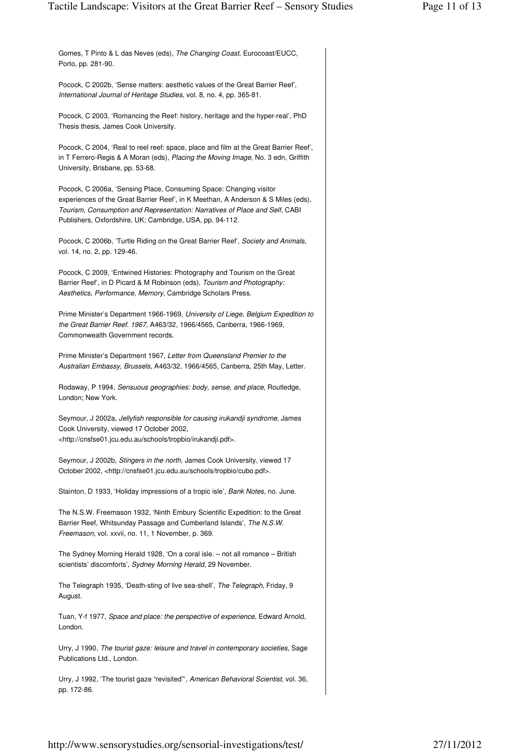| Gomes, T Pinto & L das Neves (eds), The Changing Coast, Eurocoast/EUCC,<br>Porto, pp. 281-90.                                                                                                                                                                                                      |
|----------------------------------------------------------------------------------------------------------------------------------------------------------------------------------------------------------------------------------------------------------------------------------------------------|
| Pocock, C 2002b, 'Sense matters: aesthetic values of the Great Barrier Reef',<br>International Journal of Heritage Studies, vol. 8, no. 4, pp. 365-81.                                                                                                                                             |
| Pocock, C 2003, 'Romancing the Reef: history, heritage and the hyper-real', PhD<br>Thesis thesis, James Cook University.                                                                                                                                                                           |
| Pocock, C 2004, 'Real to reel reef: space, place and film at the Great Barrier Reef',<br>in T Ferrero-Regis & A Moran (eds), Placing the Moving Image, No. 3 edn, Griffith<br>University, Brisbane, pp. 53-68.                                                                                     |
| Pocock, C 2006a, 'Sensing Place, Consuming Space: Changing visitor<br>experiences of the Great Barrier Reef', in K Meethan, A Anderson & S Miles (eds),<br>Tourism, Consumption and Representation: Narratives of Place and Self, CABI<br>Publishers, Oxfordshire, UK; Cambridge, USA, pp. 94-112. |
| Pocock, C 2006b, 'Turtle Riding on the Great Barrier Reef', Society and Animals,<br>vol. 14, no. 2, pp. 129-46.                                                                                                                                                                                    |
| Pocock, C 2009, 'Entwined Histories: Photography and Tourism on the Great<br>Barrier Reef', in D Picard & M Robinson (eds), Tourism and Photography:<br>Aesthetics, Performance, Memory, Cambridge Scholars Press.                                                                                 |
| Prime Minister's Department 1966-1969, University of Liege, Belgium Expedition to<br>the Great Barrier Reef. 1967, A463/32, 1966/4565, Canberra, 1966-1969,<br>Commonwealth Government records.                                                                                                    |
| Prime Minister's Department 1967, Letter from Queensland Premier to the<br>Australian Embassy, Brussels, A463/32, 1966/4565, Canberra, 25th May, Letter.                                                                                                                                           |
| Rodaway, P 1994, Sensuous geographies: body, sense, and place, Routledge,<br>London; New York.                                                                                                                                                                                                     |
| Seymour, J 2002a, Jellyfish responsible for causing irukandji syndrome, James<br>Cook University, viewed 17 October 2002,<br><http: cnsfse01.jcu.edu.au="" irukandji.pdf="" schools="" tropbio="">.</http:>                                                                                        |
| Seymour, J 2002b, Stingers in the north, James Cook University, viewed 17<br>October 2002, <http: cnsfse01.jcu.edu.au="" cubo.pdf="" schools="" tropbio="">.</http:>                                                                                                                               |
| Stainton, D 1933, 'Holiday impressions of a tropic isle', Bank Notes, no. June.                                                                                                                                                                                                                    |
| The N.S.W. Freemason 1932, 'Ninth Embury Scientific Expedition: to the Great<br>Barrier Reef, Whitsunday Passage and Cumberland Islands', The N.S.W.<br>Freemason, vol. xxvii, no. 11, 1 November, p. 369.                                                                                         |
| The Sydney Morning Herald 1928, 'On a coral isle. - not all romance - British<br>scientists' discomforts', Sydney Morning Herald, 29 November.                                                                                                                                                     |
| The Telegraph 1935, 'Death-sting of live sea-shell', The Telegraph, Friday, 9<br>August.                                                                                                                                                                                                           |
| Tuan, Y-f 1977, Space and place: the perspective of experience, Edward Arnold,<br>London.                                                                                                                                                                                                          |
| Urry, J 1990, The tourist gaze: leisure and travel in contemporary societies, Sage<br>Publications Ltd., London.                                                                                                                                                                                   |
| Urry, J 1992, 'The tourist gaze "revisited"", American Behavioral Scientist, vol. 36,<br>pp. 172-86.                                                                                                                                                                                               |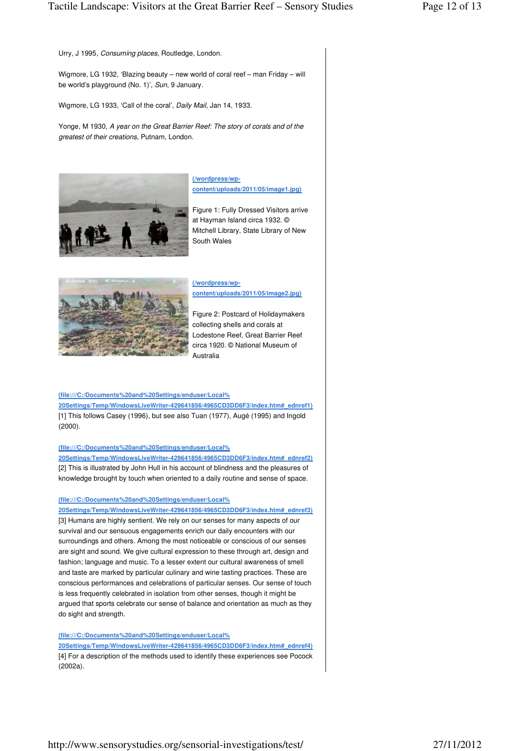Urry, J 1995, Consuming places, Routledge, London.

Wigmore, LG 1932, 'Blazing beauty – new world of coral reef – man Friday – will be world's playground (No. 1)', Sun, 9 January.

Wigmore, LG 1933, 'Call of the coral', *Daily Mail*, Jan 14, 1933.

Yonge, M 1930, A year on the Great Barrier Reef: The story of corals and of the greatest of their creations, Putnam, London.



**(/wordpress/wpcontent/uploads/2011/05/image1.jpg)** 

Figure 1: Fully Dressed Visitors arrive at Hayman Island circa 1932. © Mitchell Library, State Library of New South Wales



**(/wordpress/wpcontent/uploads/2011/05/image2.jpg)** 

Figure 2: Postcard of Holidaymakers collecting shells and corals at Lodestone Reef, Great Barrier Reef circa 1920. © National Museum of Australia

#### **(file:///C:/Documents%20and%20Settings/enduser/Local%**

**20Settings/Temp/WindowsLiveWriter-429641856/4965CD3DD6F3/index.htm#\_ednref1)**  [1] This follows Casey (1996), but see also Tuan (1977), Augé (1995) and Ingold (2000).

#### **(file:///C:/Documents%20and%20Settings/enduser/Local%**

**20Settings/Temp/WindowsLiveWriter-429641856/4965CD3DD6F3/index.htm#\_ednref2)**  [2] This is illustrated by John Hull in his account of blindness and the pleasures of knowledge brought by touch when oriented to a daily routine and sense of space.

## **(file:///C:/Documents%20and%20Settings/enduser/Local%**

**20Settings/Temp/WindowsLiveWriter-429641856/4965CD3DD6F3/index.htm#\_ednref3)**  [3] Humans are highly sentient. We rely on our senses for many aspects of our survival and our sensuous engagements enrich our daily encounters with our surroundings and others. Among the most noticeable or conscious of our senses are sight and sound. We give cultural expression to these through art, design and fashion; language and music. To a lesser extent our cultural awareness of smell and taste are marked by particular culinary and wine tasting practices. These are conscious performances and celebrations of particular senses. Our sense of touch is less frequently celebrated in isolation from other senses, though it might be argued that sports celebrate our sense of balance and orientation as much as they do sight and strength.

## **(file:///C:/Documents%20and%20Settings/enduser/Local%**

**20Settings/Temp/WindowsLiveWriter-429641856/4965CD3DD6F3/index.htm#\_ednref4)**  [4] For a description of the methods used to identify these experiences see Pocock (2002a).